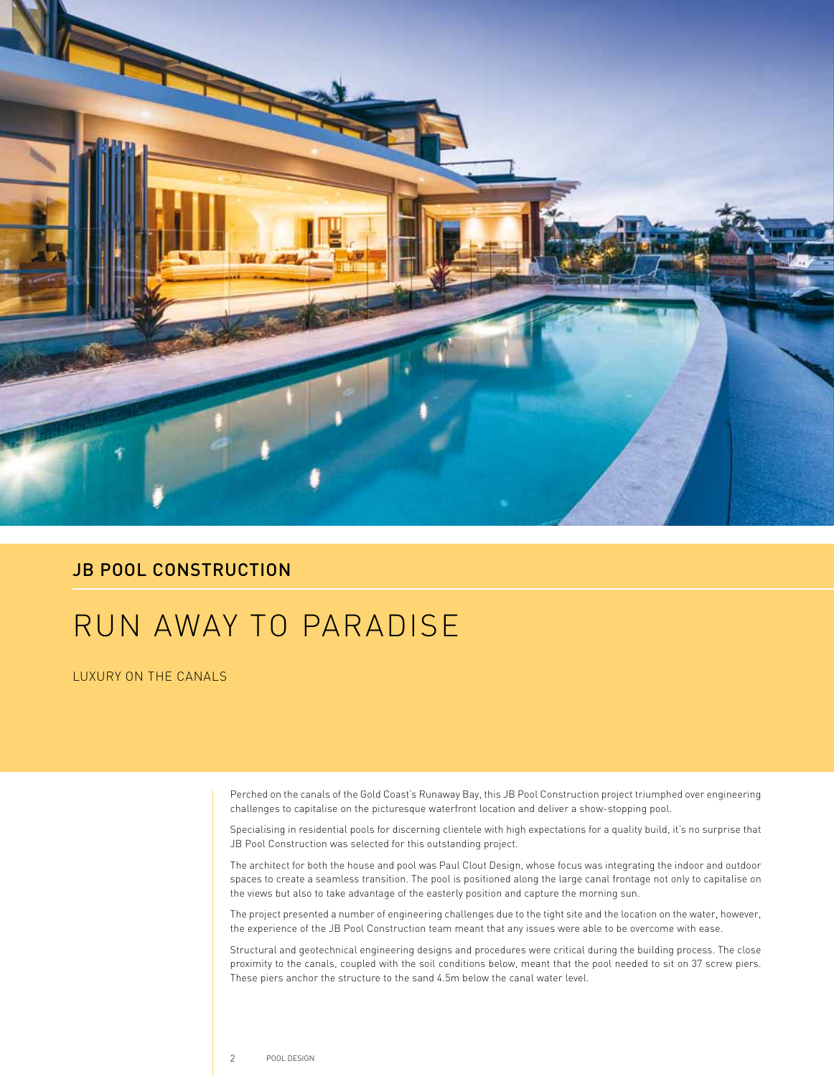

## **JB POOL CONSTRUCTION**

## RUN AWAY TO PARADISE

LUXURY ON THE CANALS

Perched on the canals of the Gold Coast's Runaway Bay, this JB Pool Construction project triumphed over engineering challenges to capitalise on the picturesque waterfront location and deliver a show-stopping pool.

Specialising in residential pools for discerning clientele with high expectations for a quality build, it's no surprise that JB Pool Construction was selected for this outstanding project.

The architect for both the house and pool was Paul Clout Design, whose focus was integrating the indoor and outdoor spaces to create a seamless transition. The pool is positioned along the large canal frontage not only to capitalise on the views but also to take advantage of the easterly position and capture the morning sun.

The project presented a number of engineering challenges due to the tight site and the location on the water, however, the experience of the JB Pool Construction team meant that any issues were able to be overcome with ease.

Structural and geotechnical engineering designs and procedures were critical during the building process. The close proximity to the canals, coupled with the soil conditions below, meant that the pool needed to sit on 37 screw piers. These piers anchor the structure to the sand 4.5m below the canal water level.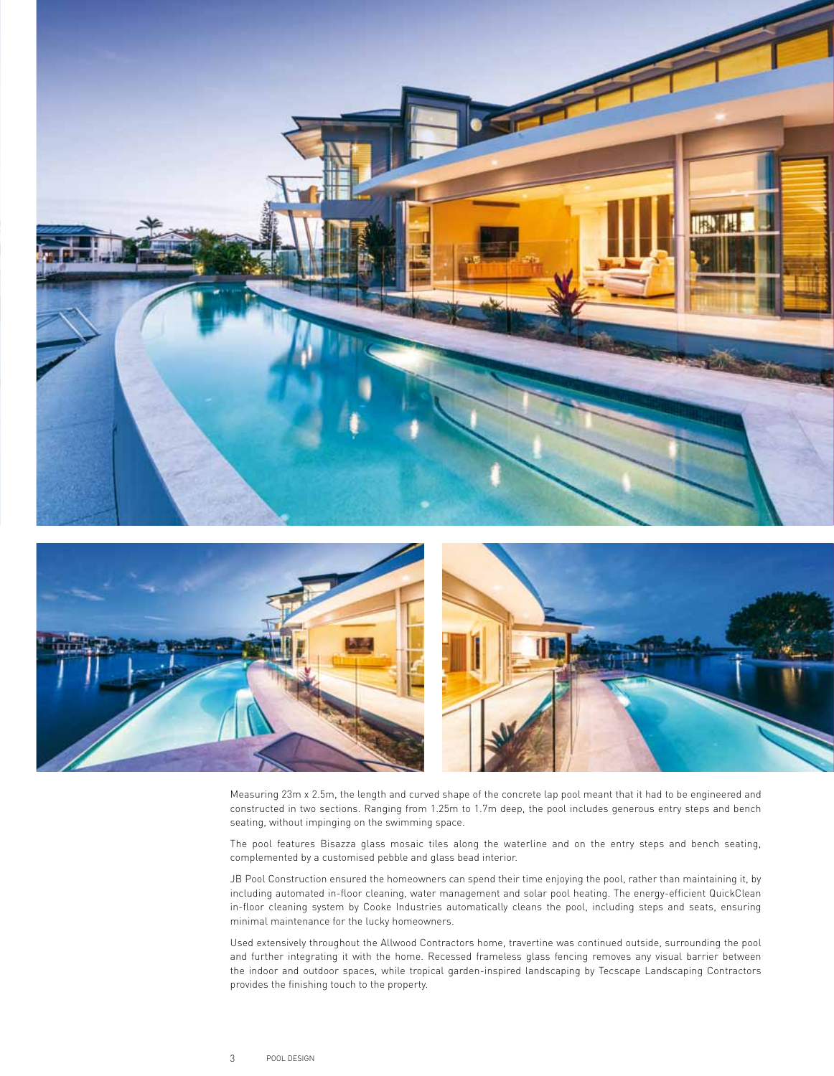



Measuring 23m x 2.5m, the length and curved shape of the concrete lap pool meant that it had to be engineered and constructed in two sections. Ranging from 1.25m to 1.7m deep, the pool includes generous entry steps and bench seating, without impinging on the swimming space.

The pool features Bisazza glass mosaic tiles along the waterline and on the entry steps and bench seating, complemented by a customised pebble and glass bead interior.

JB Pool Construction ensured the homeowners can spend their time enjoying the pool, rather than maintaining it, by including automated in-floor cleaning, water management and solar pool heating. The energy-efficient QuickClean in-floor cleaning system by Cooke Industries automatically cleans the pool, including steps and seats, ensuring minimal maintenance for the lucky homeowners.

Used extensively throughout the Allwood Contractors home, travertine was continued outside, surrounding the pool and further integrating it with the home. Recessed frameless glass fencing removes any visual barrier between the indoor and outdoor spaces, while tropical garden-inspired landscaping by Tecscape Landscaping Contractors provides the finishing touch to the property.